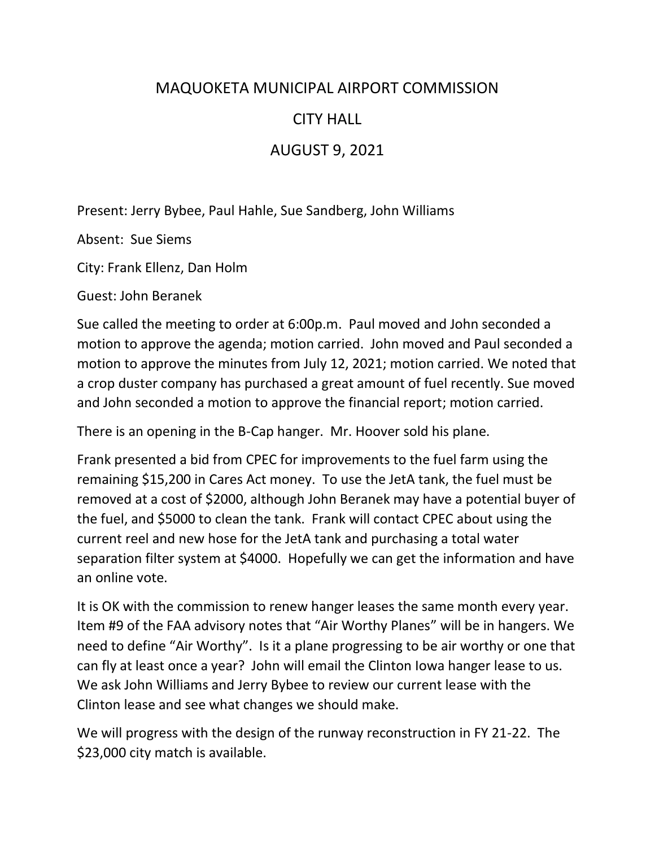## MAQUOKETA MUNICIPAL AIRPORT COMMISSION

## CITY HALL

## AUGUST 9, 2021

Present: Jerry Bybee, Paul Hahle, Sue Sandberg, John Williams

Absent: Sue Siems

City: Frank Ellenz, Dan Holm

Guest: John Beranek

Sue called the meeting to order at 6:00p.m. Paul moved and John seconded a motion to approve the agenda; motion carried. John moved and Paul seconded a motion to approve the minutes from July 12, 2021; motion carried. We noted that a crop duster company has purchased a great amount of fuel recently. Sue moved and John seconded a motion to approve the financial report; motion carried.

There is an opening in the B-Cap hanger. Mr. Hoover sold his plane.

Frank presented a bid from CPEC for improvements to the fuel farm using the remaining \$15,200 in Cares Act money. To use the JetA tank, the fuel must be removed at a cost of \$2000, although John Beranek may have a potential buyer of the fuel, and \$5000 to clean the tank. Frank will contact CPEC about using the current reel and new hose for the JetA tank and purchasing a total water separation filter system at \$4000. Hopefully we can get the information and have an online vote.

It is OK with the commission to renew hanger leases the same month every year. Item #9 of the FAA advisory notes that "Air Worthy Planes" will be in hangers. We need to define "Air Worthy". Is it a plane progressing to be air worthy or one that can fly at least once a year? John will email the Clinton Iowa hanger lease to us. We ask John Williams and Jerry Bybee to review our current lease with the Clinton lease and see what changes we should make.

We will progress with the design of the runway reconstruction in FY 21-22. The \$23,000 city match is available.